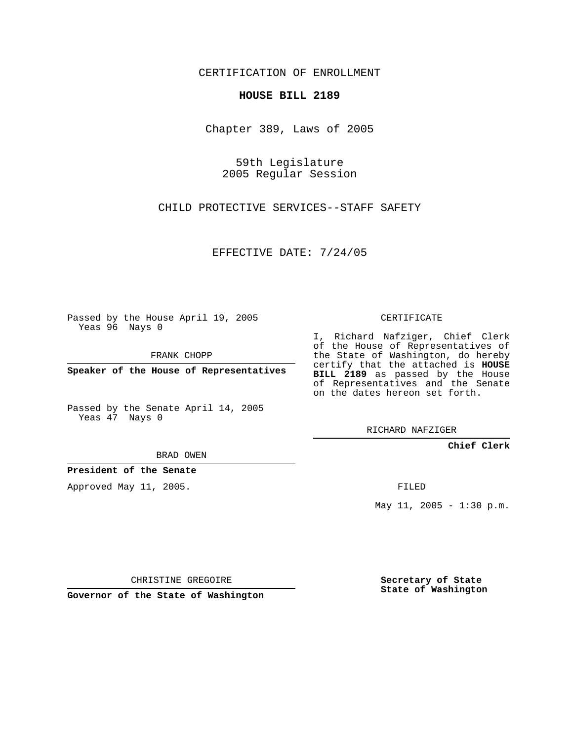CERTIFICATION OF ENROLLMENT

## **HOUSE BILL 2189**

Chapter 389, Laws of 2005

59th Legislature 2005 Regular Session

CHILD PROTECTIVE SERVICES--STAFF SAFETY

EFFECTIVE DATE: 7/24/05

Passed by the House April 19, 2005 Yeas 96 Nays 0

FRANK CHOPP

**Speaker of the House of Representatives**

Passed by the Senate April 14, 2005 Yeas 47 Nays 0

BRAD OWEN

**President of the Senate**

Approved May 11, 2005.

CERTIFICATE

I, Richard Nafziger, Chief Clerk of the House of Representatives of the State of Washington, do hereby certify that the attached is **HOUSE BILL 2189** as passed by the House of Representatives and the Senate on the dates hereon set forth.

RICHARD NAFZIGER

**Chief Clerk**

FILED

May 11, 2005 - 1:30 p.m.

CHRISTINE GREGOIRE

**Governor of the State of Washington**

**Secretary of State State of Washington**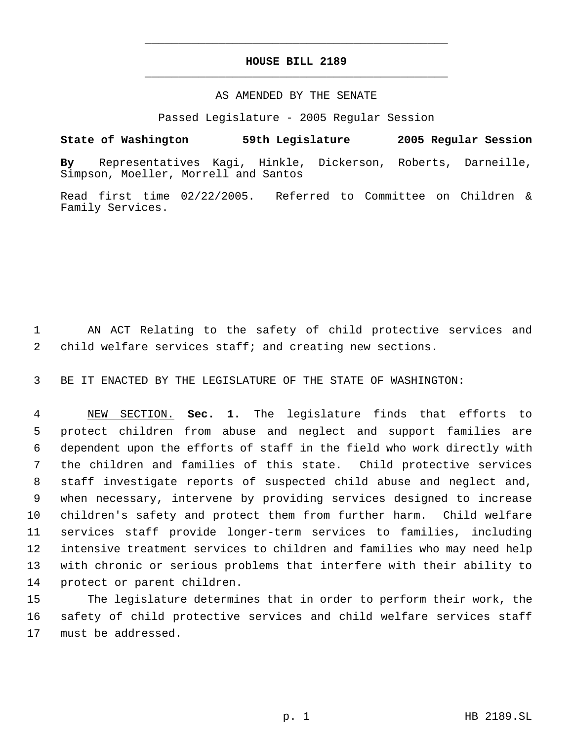## **HOUSE BILL 2189** \_\_\_\_\_\_\_\_\_\_\_\_\_\_\_\_\_\_\_\_\_\_\_\_\_\_\_\_\_\_\_\_\_\_\_\_\_\_\_\_\_\_\_\_\_

\_\_\_\_\_\_\_\_\_\_\_\_\_\_\_\_\_\_\_\_\_\_\_\_\_\_\_\_\_\_\_\_\_\_\_\_\_\_\_\_\_\_\_\_\_

## AS AMENDED BY THE SENATE

Passed Legislature - 2005 Regular Session

## **State of Washington 59th Legislature 2005 Regular Session**

**By** Representatives Kagi, Hinkle, Dickerson, Roberts, Darneille, Simpson, Moeller, Morrell and Santos

Read first time 02/22/2005. Referred to Committee on Children & Family Services.

 AN ACT Relating to the safety of child protective services and child welfare services staff; and creating new sections.

BE IT ENACTED BY THE LEGISLATURE OF THE STATE OF WASHINGTON:

 NEW SECTION. **Sec. 1.** The legislature finds that efforts to protect children from abuse and neglect and support families are dependent upon the efforts of staff in the field who work directly with the children and families of this state. Child protective services staff investigate reports of suspected child abuse and neglect and, when necessary, intervene by providing services designed to increase children's safety and protect them from further harm. Child welfare services staff provide longer-term services to families, including intensive treatment services to children and families who may need help with chronic or serious problems that interfere with their ability to protect or parent children.

 The legislature determines that in order to perform their work, the safety of child protective services and child welfare services staff must be addressed.